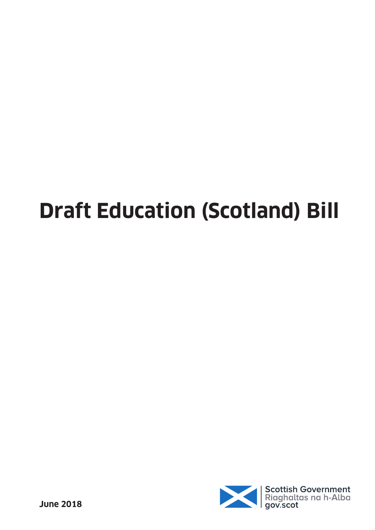# **Draft Education (Scotland) Bill**

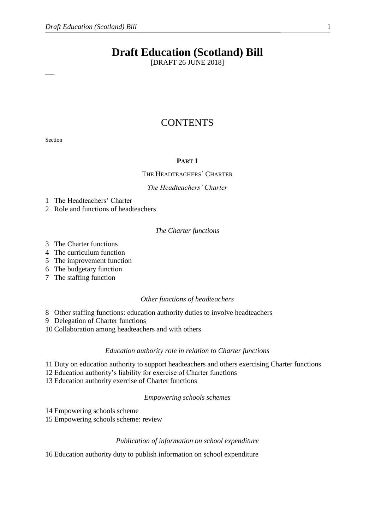# **Draft Education (Scotland) Bill**

[DRAFT 26 JUNE 2018]

# **CONTENTS**

Section

#### **PART 1**

#### THE HEADTEACHERS' CHARTER

#### *The Headteachers' Charter*

1 The Headteachers' Charter

2 Role and functions of headteachers

#### *The Charter functions*

- 3 The Charter functions
- 4 The curriculum function
- 5 The improvement function
- 6 The budgetary function
- 7 The staffing function

#### *Other functions of headteachers*

8 Other staffing functions: education authority duties to involve headteachers

9 Delegation of Charter functions

10 Collaboration among headteachers and with others

#### *Education authority role in relation to Charter functions*

11 Duty on education authority to support headteachers and others exercising Charter functions

12 Education authority's liability for exercise of Charter functions

13 Education authority exercise of Charter functions

*Empowering schools schemes*

14 Empowering schools scheme

15 Empowering schools scheme: review

#### *Publication of information on school expenditure*

16 Education authority duty to publish information on school expenditure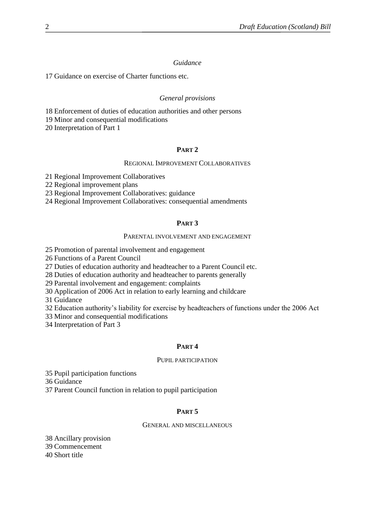#### *Guidance*

Guidance on exercise of Charter functions etc.

#### *General provisions*

Enforcement of duties of education authorities and other persons

Minor and consequential modifications

Interpretation of Part 1

#### **PART 2**

#### REGIONAL IMPROVEMENT COLLABORATIVES

Regional Improvement Collaboratives

Regional improvement plans

Regional Improvement Collaboratives: guidance

Regional Improvement Collaboratives: consequential amendments

# **PART 3**

#### PARENTAL INVOLVEMENT AND ENGAGEMENT

Promotion of parental involvement and engagement

Functions of a Parent Council

Duties of education authority and headteacher to a Parent Council etc.

Duties of education authority and headteacher to parents generally

Parental involvement and engagement: complaints

Application of 2006 Act in relation to early learning and childcare

Guidance

Education authority's liability for exercise by headteachers of functions under the 2006 Act

Minor and consequential modifications

Interpretation of Part 3

#### **PART 4**

#### PUPIL PARTICIPATION

 Pupil participation functions Guidance Parent Council function in relation to pupil participation

# **PART 5**

# GENERAL AND MISCELLANEOUS

 Ancillary provision Commencement Short title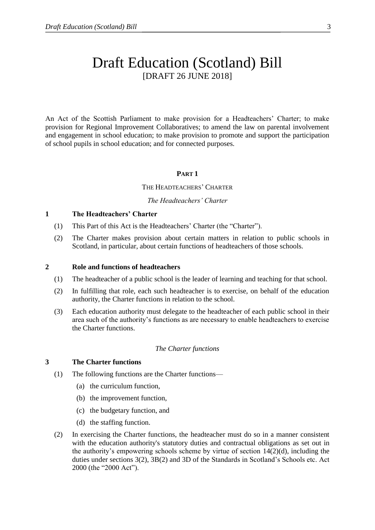# Draft Education (Scotland) Bill [DRAFT 26 JUNE 2018]

An Act of the Scottish Parliament to make provision for a Headteachers' Charter; to make provision for Regional Improvement Collaboratives; to amend the law on parental involvement and engagement in school education; to make provision to promote and support the participation of school pupils in school education; and for connected purposes.

#### **PART 1**

#### THE HEADTEACHERS' CHARTER

#### *The Headteachers' Charter*

#### **1 The Headteachers' Charter**

- (1) This Part of this Act is the Headteachers' Charter (the "Charter").
- (2) The Charter makes provision about certain matters in relation to public schools in Scotland, in particular, about certain functions of headteachers of those schools.

#### **2 Role and functions of headteachers**

- (1) The headteacher of a public school is the leader of learning and teaching for that school.
- (2) In fulfilling that role, each such headteacher is to exercise, on behalf of the education authority, the Charter functions in relation to the school.
- (3) Each education authority must delegate to the headteacher of each public school in their area such of the authority's functions as are necessary to enable headteachers to exercise the Charter functions.

#### *The Charter functions*

#### **3 The Charter functions**

- (1) The following functions are the Charter functions—
	- (a) the curriculum function,
	- (b) the improvement function,
	- (c) the budgetary function, and
	- (d) the staffing function.
- (2) In exercising the Charter functions, the headteacher must do so in a manner consistent with the education authority's statutory duties and contractual obligations as set out in the authority's empowering schools scheme by virtue of section  $14(2)(d)$ , including the duties under sections 3(2), 3B(2) and 3D of the Standards in Scotland's Schools etc. Act 2000 (the "2000 Act").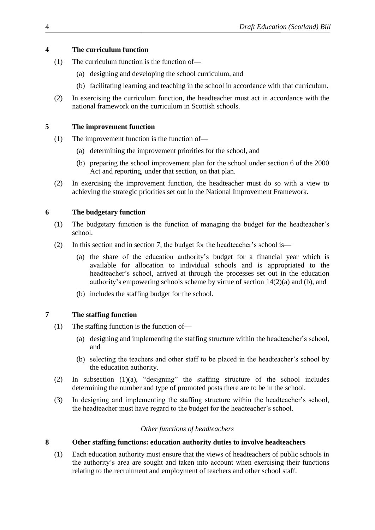# **4 The curriculum function**

- (1) The curriculum function is the function of—
	- (a) designing and developing the school curriculum, and
	- (b) facilitating learning and teaching in the school in accordance with that curriculum.
- (2) In exercising the curriculum function, the headteacher must act in accordance with the national framework on the curriculum in Scottish schools.

# **5 The improvement function**

- (1) The improvement function is the function of—
	- (a) determining the improvement priorities for the school, and
	- (b) preparing the school improvement plan for the school under section 6 of the 2000 Act and reporting, under that section, on that plan.
- (2) In exercising the improvement function, the headteacher must do so with a view to achieving the strategic priorities set out in the National Improvement Framework.

# **6 The budgetary function**

- (1) The budgetary function is the function of managing the budget for the headteacher's school.
- (2) In this section and in section 7, the budget for the headteacher's school is—
	- (a) the share of the education authority's budget for a financial year which is available for allocation to individual schools and is appropriated to the headteacher's school, arrived at through the processes set out in the education authority's empowering schools scheme by virtue of section 14(2)(a) and (b), and
	- (b) includes the staffing budget for the school.

# **7 The staffing function**

- (1) The staffing function is the function of—
	- (a) designing and implementing the staffing structure within the headteacher's school, and
	- (b) selecting the teachers and other staff to be placed in the headteacher's school by the education authority.
- (2) In subsection (1)(a), "designing" the staffing structure of the school includes determining the number and type of promoted posts there are to be in the school.
- (3) In designing and implementing the staffing structure within the headteacher's school, the headteacher must have regard to the budget for the headteacher's school.

# *Other functions of headteachers*

# **8 Other staffing functions: education authority duties to involve headteachers**

(1) Each education authority must ensure that the views of headteachers of public schools in the authority's area are sought and taken into account when exercising their functions relating to the recruitment and employment of teachers and other school staff.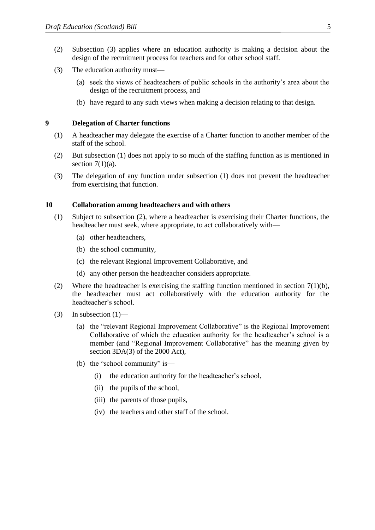- (2) Subsection (3) applies where an education authority is making a decision about the design of the recruitment process for teachers and for other school staff.
- (3) The education authority must—
	- (a) seek the views of headteachers of public schools in the authority's area about the design of the recruitment process, and
	- (b) have regard to any such views when making a decision relating to that design.

#### **9 Delegation of Charter functions**

- (1) A headteacher may delegate the exercise of a Charter function to another member of the staff of the school.
- (2) But subsection (1) does not apply to so much of the staffing function as is mentioned in section  $7(1)(a)$ .
- (3) The delegation of any function under subsection (1) does not prevent the headteacher from exercising that function.

#### **10 Collaboration among headteachers and with others**

- (1) Subject to subsection (2), where a headteacher is exercising their Charter functions, the headteacher must seek, where appropriate, to act collaboratively with—
	- (a) other headteachers,
	- (b) the school community,
	- (c) the relevant Regional Improvement Collaborative, and
	- (d) any other person the headteacher considers appropriate.
- (2) Where the headteacher is exercising the staffing function mentioned in section  $7(1)(b)$ , the headteacher must act collaboratively with the education authority for the headteacher's school.
- (3) In subsection  $(1)$ 
	- (a) the "relevant Regional Improvement Collaborative" is the Regional Improvement Collaborative of which the education authority for the headteacher's school is a member (and "Regional Improvement Collaborative" has the meaning given by section 3DA(3) of the 2000 Act),
	- (b) the "school community" is—
		- (i) the education authority for the headteacher's school,
		- (ii) the pupils of the school,
		- (iii) the parents of those pupils,
		- (iv) the teachers and other staff of the school.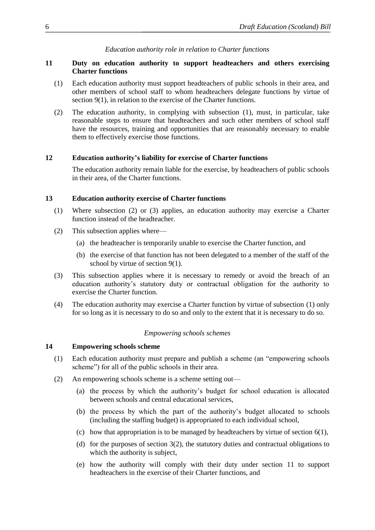#### *Education authority role in relation to Charter functions*

#### **11 Duty on education authority to support headteachers and others exercising Charter functions**

- (1) Each education authority must support headteachers of public schools in their area, and other members of school staff to whom headteachers delegate functions by virtue of section 9(1), in relation to the exercise of the Charter functions.
- (2) The education authority, in complying with subsection (1), must, in particular, take reasonable steps to ensure that headteachers and such other members of school staff have the resources, training and opportunities that are reasonably necessary to enable them to effectively exercise those functions.

#### **12 Education authority's liability for exercise of Charter functions**

The education authority remain liable for the exercise, by headteachers of public schools in their area, of the Charter functions.

#### **13 Education authority exercise of Charter functions**

- (1) Where subsection (2) or (3) applies, an education authority may exercise a Charter function instead of the headteacher.
- (2) This subsection applies where—
	- (a) the headteacher is temporarily unable to exercise the Charter function, and
	- (b) the exercise of that function has not been delegated to a member of the staff of the school by virtue of section 9(1).
- (3) This subsection applies where it is necessary to remedy or avoid the breach of an education authority's statutory duty or contractual obligation for the authority to exercise the Charter function.
- (4) The education authority may exercise a Charter function by virtue of subsection (1) only for so long as it is necessary to do so and only to the extent that it is necessary to do so.

#### *Empowering schools schemes*

#### **14 Empowering schools scheme**

- (1) Each education authority must prepare and publish a scheme (an "empowering schools scheme") for all of the public schools in their area.
- (2) An empowering schools scheme is a scheme setting out—
	- (a) the process by which the authority's budget for school education is allocated between schools and central educational services,
	- (b) the process by which the part of the authority's budget allocated to schools (including the staffing budget) is appropriated to each individual school,
	- (c) how that appropriation is to be managed by headteachers by virtue of section  $6(1)$ ,
	- (d) for the purposes of section 3(2), the statutory duties and contractual obligations to which the authority is subject,
	- (e) how the authority will comply with their duty under section 11 to support headteachers in the exercise of their Charter functions, and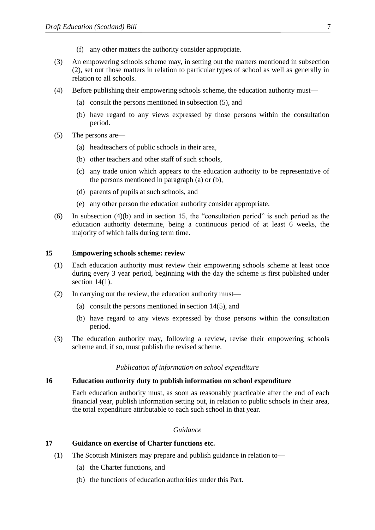- (f) any other matters the authority consider appropriate.
- (3) An empowering schools scheme may, in setting out the matters mentioned in subsection (2), set out those matters in relation to particular types of school as well as generally in relation to all schools.
- (4) Before publishing their empowering schools scheme, the education authority must—
	- (a) consult the persons mentioned in subsection (5), and
	- (b) have regard to any views expressed by those persons within the consultation period.
- (5) The persons are—
	- (a) headteachers of public schools in their area,
	- (b) other teachers and other staff of such schools,
	- (c) any trade union which appears to the education authority to be representative of the persons mentioned in paragraph (a) or (b),
	- (d) parents of pupils at such schools, and
	- (e) any other person the education authority consider appropriate.
- (6) In subsection (4)(b) and in section 15, the "consultation period" is such period as the education authority determine, being a continuous period of at least 6 weeks, the majority of which falls during term time.

#### **15 Empowering schools scheme: review**

- (1) Each education authority must review their empowering schools scheme at least once during every 3 year period, beginning with the day the scheme is first published under section  $14(1)$ .
- (2) In carrying out the review, the education authority must—
	- (a) consult the persons mentioned in section 14(5), and
	- (b) have regard to any views expressed by those persons within the consultation period.
- (3) The education authority may, following a review, revise their empowering schools scheme and, if so, must publish the revised scheme.

#### *Publication of information on school expenditure*

#### **16 Education authority duty to publish information on school expenditure**

Each education authority must, as soon as reasonably practicable after the end of each financial year, publish information setting out, in relation to public schools in their area, the total expenditure attributable to each such school in that year.

#### *Guidance*

#### **17 Guidance on exercise of Charter functions etc.**

- (1) The Scottish Ministers may prepare and publish guidance in relation to—
	- (a) the Charter functions, and
	- (b) the functions of education authorities under this Part.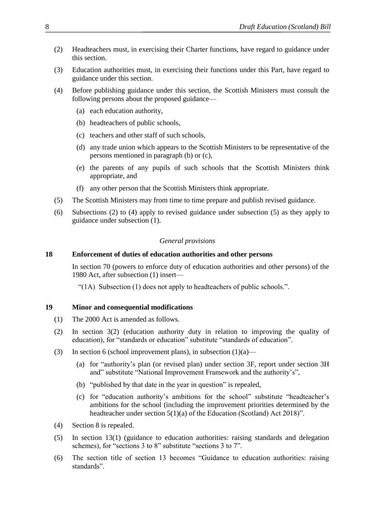- (2) Headteachers must, in exercising their Charter functions, have regard to guidance under this section.
- (3) Education authorities must, in exercising their functions under this Part, have regard to guidance under this section.
- (4) Before publishing guidance under this section, the Scottish Ministers must consult the following persons about the proposed guidance—
	- (a) each education authority,
	- (b) headteachers of public schools,
	- (c) teachers and other staff of such schools,
	- (d) any trade union which appears to the Scottish Ministers to be representative of the persons mentioned in paragraph (b) or (c),
	- (e) the parents of any pupils of such schools that the Scottish Ministers think appropriate, and
	- (f) any other person that the Scottish Ministers think appropriate.
- (5) The Scottish Ministers may from time to time prepare and publish revised guidance.
- (6) Subsections (2) to (4) apply to revised guidance under subsection (5) as they apply to guidance under subsection (1).

#### *General provisions*

#### **18 Enforcement of duties of education authorities and other persons**

In section 70 (powers to enforce duty of education authorities and other persons) of the 1980 Act, after subsection (1) insert—

"(1A) Subsection (1) does not apply to headteachers of public schools.".

#### **19 Minor and consequential modifications**

- (1) The 2000 Act is amended as follows.
- (2) In section 3(2) (education authority duty in relation to improving the quality of education), for "standards or education" substitute "standards of education".
- (3) In section 6 (school improvement plans), in subsection  $(1)(a)$ 
	- (a) for "authority's plan (or revised plan) under section 3F, report under section 3H and" substitute "National Improvement Framework and the authority's",
	- (b) "published by that date in the year in question" is repealed,
	- (c) for "education authority's ambitions for the school" substitute "headteacher's ambitions for the school (including the improvement priorities determined by the headteacher under section 5(1)(a) of the Education (Scotland) Act 2018)".
- (4) Section 8 is repealed.
- (5) In section 13(1) (guidance to education authorities: raising standards and delegation schemes), for "sections 3 to 8" substitute "sections 3 to 7".
- (6) The section title of section 13 becomes "Guidance to education authorities: raising standards".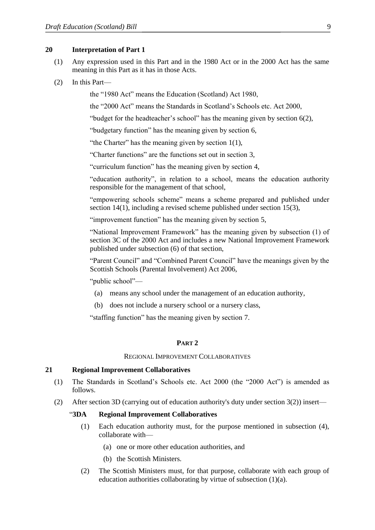#### **20 Interpretation of Part 1**

- (1) Any expression used in this Part and in the 1980 Act or in the 2000 Act has the same meaning in this Part as it has in those Acts.
- (2) In this Part—

the "1980 Act" means the Education (Scotland) Act 1980,

the "2000 Act" means the Standards in Scotland's Schools etc. Act 2000,

"budget for the headteacher's school" has the meaning given by section 6(2),

"budgetary function" has the meaning given by section 6,

"the Charter" has the meaning given by section 1(1),

"Charter functions" are the functions set out in section 3,

"curriculum function" has the meaning given by section 4,

"education authority", in relation to a school, means the education authority responsible for the management of that school,

"empowering schools scheme" means a scheme prepared and published under section 14(1), including a revised scheme published under section 15(3),

"improvement function" has the meaning given by section 5,

"National Improvement Framework" has the meaning given by subsection (1) of section 3C of the 2000 Act and includes a new National Improvement Framework published under subsection (6) of that section,

"Parent Council" and "Combined Parent Council" have the meanings given by the Scottish Schools (Parental Involvement) Act 2006,

"public school"—

- (a) means any school under the management of an education authority,
- (b) does not include a nursery school or a nursery class,

"staffing function" has the meaning given by section 7.

#### **PART 2**

REGIONAL IMPROVEMENT COLLABORATIVES

#### **21 Regional Improvement Collaboratives**

- (1) The Standards in Scotland's Schools etc. Act 2000 (the "2000 Act") is amended as follows.
- (2) After section 3D (carrying out of education authority's duty under section 3(2)) insert—

#### "**3DA Regional Improvement Collaboratives**

- (1) Each education authority must, for the purpose mentioned in subsection (4), collaborate with—
	- (a) one or more other education authorities, and
	- (b) the Scottish Ministers.
- (2) The Scottish Ministers must, for that purpose, collaborate with each group of education authorities collaborating by virtue of subsection (1)(a).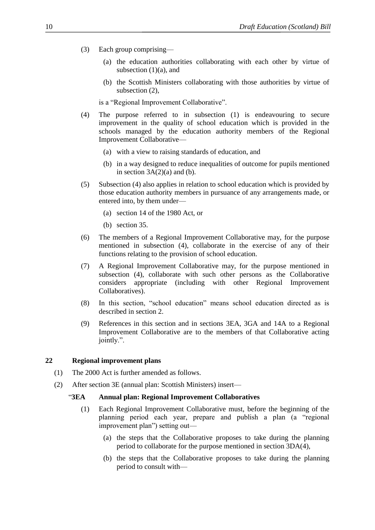- (3) Each group comprising—
	- (a) the education authorities collaborating with each other by virtue of subsection  $(1)(a)$ , and
	- (b) the Scottish Ministers collaborating with those authorities by virtue of subsection (2),

is a "Regional Improvement Collaborative".

- (4) The purpose referred to in subsection (1) is endeavouring to secure improvement in the quality of school education which is provided in the schools managed by the education authority members of the Regional Improvement Collaborative—
	- (a) with a view to raising standards of education, and
	- (b) in a way designed to reduce inequalities of outcome for pupils mentioned in section  $3A(2)(a)$  and (b).
- (5) Subsection (4) also applies in relation to school education which is provided by those education authority members in pursuance of any arrangements made, or entered into, by them under—
	- (a) section 14 of the 1980 Act, or
	- (b) section 35.
- (6) The members of a Regional Improvement Collaborative may, for the purpose mentioned in subsection (4), collaborate in the exercise of any of their functions relating to the provision of school education.
- (7) A Regional Improvement Collaborative may, for the purpose mentioned in subsection (4), collaborate with such other persons as the Collaborative considers appropriate (including with other Regional Improvement Collaboratives).
- (8) In this section, "school education" means school education directed as is described in section 2.
- (9) References in this section and in sections 3EA, 3GA and 14A to a Regional Improvement Collaborative are to the members of that Collaborative acting jointly.".

#### **22 Regional improvement plans**

- (1) The 2000 Act is further amended as follows.
- (2) After section 3E (annual plan: Scottish Ministers) insert—

#### "**3EA Annual plan: Regional Improvement Collaboratives**

- (1) Each Regional Improvement Collaborative must, before the beginning of the planning period each year, prepare and publish a plan (a "regional improvement plan") setting out—
	- (a) the steps that the Collaborative proposes to take during the planning period to collaborate for the purpose mentioned in section 3DA(4),
	- (b) the steps that the Collaborative proposes to take during the planning period to consult with—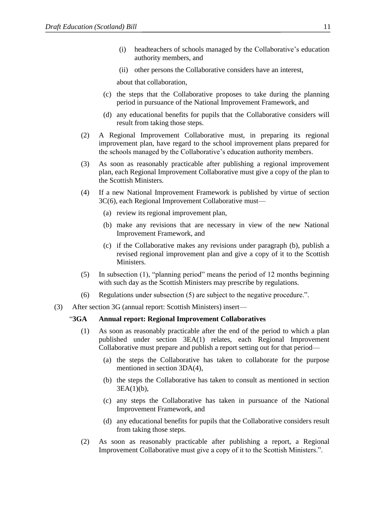- (i) headteachers of schools managed by the Collaborative's education authority members, and
- (ii) other persons the Collaborative considers have an interest,

about that collaboration,

- (c) the steps that the Collaborative proposes to take during the planning period in pursuance of the National Improvement Framework, and
- (d) any educational benefits for pupils that the Collaborative considers will result from taking those steps.
- (2) A Regional Improvement Collaborative must, in preparing its regional improvement plan, have regard to the school improvement plans prepared for the schools managed by the Collaborative's education authority members.
- (3) As soon as reasonably practicable after publishing a regional improvement plan, each Regional Improvement Collaborative must give a copy of the plan to the Scottish Ministers.
- (4) If a new National Improvement Framework is published by virtue of section 3C(6), each Regional Improvement Collaborative must—
	- (a) review its regional improvement plan,
	- (b) make any revisions that are necessary in view of the new National Improvement Framework, and
	- (c) if the Collaborative makes any revisions under paragraph (b), publish a revised regional improvement plan and give a copy of it to the Scottish Ministers.
- (5) In subsection (1), "planning period" means the period of 12 months beginning with such day as the Scottish Ministers may prescribe by regulations.
- (6) Regulations under subsection (5) are subject to the negative procedure.".
- (3) After section 3G (annual report: Scottish Ministers) insert—

#### "**3GA Annual report: Regional Improvement Collaboratives**

- (1) As soon as reasonably practicable after the end of the period to which a plan published under section 3EA(1) relates, each Regional Improvement Collaborative must prepare and publish a report setting out for that period—
	- (a) the steps the Collaborative has taken to collaborate for the purpose mentioned in section 3DA(4),
	- (b) the steps the Collaborative has taken to consult as mentioned in section 3EA(1)(b),
	- (c) any steps the Collaborative has taken in pursuance of the National Improvement Framework, and
	- (d) any educational benefits for pupils that the Collaborative considers result from taking those steps.
- (2) As soon as reasonably practicable after publishing a report, a Regional Improvement Collaborative must give a copy of it to the Scottish Ministers.".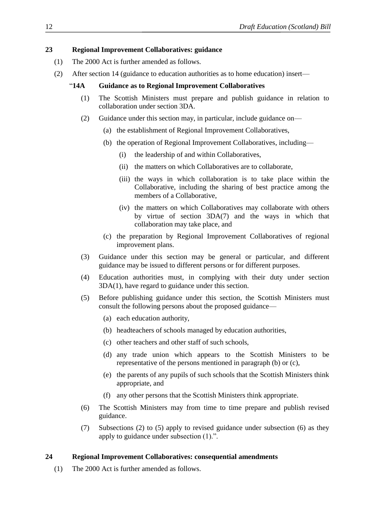#### **23 Regional Improvement Collaboratives: guidance**

- (1) The 2000 Act is further amended as follows.
- (2) After section 14 (guidance to education authorities as to home education) insert—

#### "**14A Guidance as to Regional Improvement Collaboratives**

- (1) The Scottish Ministers must prepare and publish guidance in relation to collaboration under section 3DA.
- (2) Guidance under this section may, in particular, include guidance on—
	- (a) the establishment of Regional Improvement Collaboratives,
	- (b) the operation of Regional Improvement Collaboratives, including—
		- (i) the leadership of and within Collaboratives,
		- (ii) the matters on which Collaboratives are to collaborate,
		- (iii) the ways in which collaboration is to take place within the Collaborative, including the sharing of best practice among the members of a Collaborative,
		- (iv) the matters on which Collaboratives may collaborate with others by virtue of section 3DA(7) and the ways in which that collaboration may take place, and
	- (c) the preparation by Regional Improvement Collaboratives of regional improvement plans.
- (3) Guidance under this section may be general or particular, and different guidance may be issued to different persons or for different purposes.
- (4) Education authorities must, in complying with their duty under section 3DA(1), have regard to guidance under this section.
- (5) Before publishing guidance under this section, the Scottish Ministers must consult the following persons about the proposed guidance—
	- (a) each education authority,
	- (b) headteachers of schools managed by education authorities,
	- (c) other teachers and other staff of such schools,
	- (d) any trade union which appears to the Scottish Ministers to be representative of the persons mentioned in paragraph (b) or (c),
	- (e) the parents of any pupils of such schools that the Scottish Ministers think appropriate, and
	- (f) any other persons that the Scottish Ministers think appropriate.
- (6) The Scottish Ministers may from time to time prepare and publish revised guidance.
- (7) Subsections (2) to (5) apply to revised guidance under subsection (6) as they apply to guidance under subsection (1).".

# **24 Regional Improvement Collaboratives: consequential amendments**

(1) The 2000 Act is further amended as follows.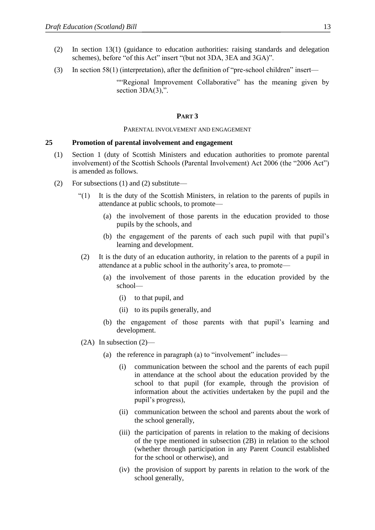- (2) In section 13(1) (guidance to education authorities: raising standards and delegation schemes), before "of this Act" insert "(but not 3DA, 3EA and 3GA)".
- (3) In section 58(1) (interpretation), after the definition of "pre-school children" insert—

""Regional Improvement Collaborative" has the meaning given by section 3DA(3),".

#### **PART 3**

#### PARENTAL INVOLVEMENT AND ENGAGEMENT

#### **25 Promotion of parental involvement and engagement**

- (1) Section 1 (duty of Scottish Ministers and education authorities to promote parental involvement) of the Scottish Schools (Parental Involvement) Act 2006 (the "2006 Act") is amended as follows.
- (2) For subsections (1) and (2) substitute—
	- "(1) It is the duty of the Scottish Ministers, in relation to the parents of pupils in attendance at public schools, to promote—
		- (a) the involvement of those parents in the education provided to those pupils by the schools, and
		- (b) the engagement of the parents of each such pupil with that pupil's learning and development.
	- (2) It is the duty of an education authority, in relation to the parents of a pupil in attendance at a public school in the authority's area, to promote—
		- (a) the involvement of those parents in the education provided by the school—
			- (i) to that pupil, and
			- (ii) to its pupils generally, and
		- (b) the engagement of those parents with that pupil's learning and development.
	- $(2A)$  In subsection  $(2)$ 
		- (a) the reference in paragraph (a) to "involvement" includes—
			- (i) communication between the school and the parents of each pupil in attendance at the school about the education provided by the school to that pupil (for example, through the provision of information about the activities undertaken by the pupil and the pupil's progress),
			- (ii) communication between the school and parents about the work of the school generally,
			- (iii) the participation of parents in relation to the making of decisions of the type mentioned in subsection (2B) in relation to the school (whether through participation in any Parent Council established for the school or otherwise), and
			- (iv) the provision of support by parents in relation to the work of the school generally,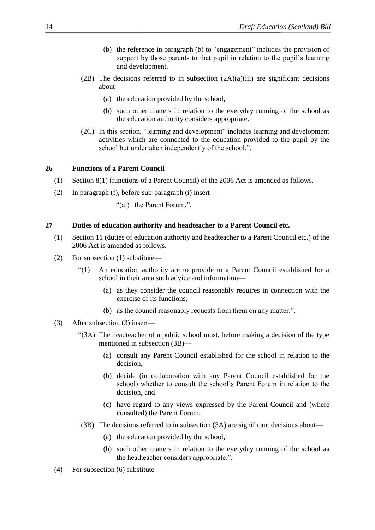- (b) the reference in paragraph (b) to "engagement" includes the provision of support by those parents to that pupil in relation to the pupil's learning and development.
- (2B) The decisions referred to in subsection  $(2A)(a)(iii)$  are significant decisions about—
	- (a) the education provided by the school,
	- (b) such other matters in relation to the everyday running of the school as the education authority considers appropriate.
- (2C) In this section, "learning and development" includes learning and development activities which are connected to the education provided to the pupil by the school but undertaken independently of the school.".

#### **26 Functions of a Parent Council**

- (1) Section 8(1) (functions of a Parent Council) of the 2006 Act is amended as follows.
- (2) In paragraph (f), before sub-paragraph (i) insert—
	- "(ai) the Parent Forum,".

#### **27 Duties of education authority and headteacher to a Parent Council etc.**

- (1) Section 11 (duties of education authority and headteacher to a Parent Council etc.) of the 2006 Act is amended as follows.
- (2) For subsection (1) substitute—
	- "(1) An education authority are to provide to a Parent Council established for a school in their area such advice and information—
		- (a) as they consider the council reasonably requires in connection with the exercise of its functions,
		- (b) as the council reasonably requests from them on any matter.".

#### (3) After subsection (3) insert—

- "(3A) The headteacher of a public school must, before making a decision of the type mentioned in subsection (3B)—
	- (a) consult any Parent Council established for the school in relation to the decision,
	- (b) decide (in collaboration with any Parent Council established for the school) whether to consult the school's Parent Forum in relation to the decision, and
	- (c) have regard to any views expressed by the Parent Council and (where consulted) the Parent Forum.
- (3B) The decisions referred to in subsection (3A) are significant decisions about—
	- (a) the education provided by the school,
	- (b) such other matters in relation to the everyday running of the school as the headteacher considers appropriate.".
- (4) For subsection (6) substitute—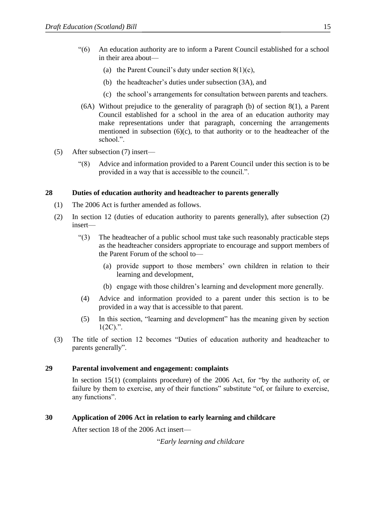- "(6) An education authority are to inform a Parent Council established for a school in their area about—
	- (a) the Parent Council's duty under section  $8(1)(c)$ ,
	- (b) the headteacher's duties under subsection (3A), and
	- (c) the school's arrangements for consultation between parents and teachers.
- (6A) Without prejudice to the generality of paragraph (b) of section 8(1), a Parent Council established for a school in the area of an education authority may make representations under that paragraph, concerning the arrangements mentioned in subsection  $(6)(c)$ , to that authority or to the headteacher of the school.".
- (5) After subsection (7) insert—
	- "(8) Advice and information provided to a Parent Council under this section is to be provided in a way that is accessible to the council.".

#### **28 Duties of education authority and headteacher to parents generally**

- (1) The 2006 Act is further amended as follows.
- (2) In section 12 (duties of education authority to parents generally), after subsection (2) insert—
	- "(3) The headteacher of a public school must take such reasonably practicable steps as the headteacher considers appropriate to encourage and support members of the Parent Forum of the school to—
		- (a) provide support to those members' own children in relation to their learning and development,
		- (b) engage with those children's learning and development more generally.
	- (4) Advice and information provided to a parent under this section is to be provided in a way that is accessible to that parent.
	- (5) In this section, "learning and development" has the meaning given by section  $1(2C)$ .".
- (3) The title of section 12 becomes "Duties of education authority and headteacher to parents generally".

#### **29 Parental involvement and engagement: complaints**

In section 15(1) (complaints procedure) of the 2006 Act, for "by the authority of, or failure by them to exercise, any of their functions" substitute "of, or failure to exercise, any functions".

# **30 Application of 2006 Act in relation to early learning and childcare**

After section 18 of the 2006 Act insert—

"*Early learning and childcare*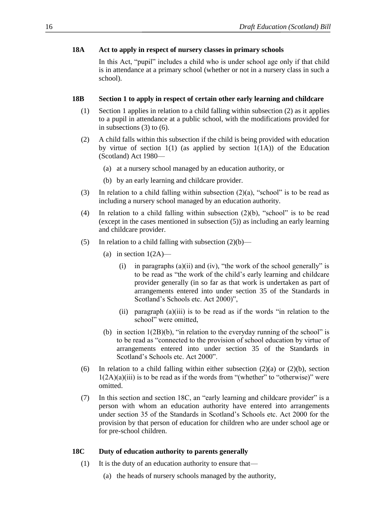#### **18A Act to apply in respect of nursery classes in primary schools**

In this Act, "pupil" includes a child who is under school age only if that child is in attendance at a primary school (whether or not in a nursery class in such a school).

#### **18B Section 1 to apply in respect of certain other early learning and childcare**

- (1) Section 1 applies in relation to a child falling within subsection (2) as it applies to a pupil in attendance at a public school, with the modifications provided for in subsections (3) to (6).
- (2) A child falls within this subsection if the child is being provided with education by virtue of section  $1(1)$  (as applied by section  $1(1A)$ ) of the Education (Scotland) Act 1980—
	- (a) at a nursery school managed by an education authority, or
	- (b) by an early learning and childcare provider.
- (3) In relation to a child falling within subsection  $(2)(a)$ , "school" is to be read as including a nursery school managed by an education authority.
- (4) In relation to a child falling within subsection (2)(b), "school" is to be read (except in the cases mentioned in subsection (5)) as including an early learning and childcare provider.
- (5) In relation to a child falling with subsection  $(2)(b)$ 
	- (a) in section  $1(2A)$ 
		- (i) in paragraphs (a)(ii) and (iv), "the work of the school generally" is to be read as "the work of the child's early learning and childcare provider generally (in so far as that work is undertaken as part of arrangements entered into under section 35 of the Standards in Scotland's Schools etc. Act 2000)",
		- (ii) paragraph (a)(iii) is to be read as if the words "in relation to the school" were omitted,
	- (b) in section  $1(2B)(b)$ , "in relation to the everyday running of the school" is to be read as "connected to the provision of school education by virtue of arrangements entered into under section 35 of the Standards in Scotland's Schools etc. Act 2000".
- (6) In relation to a child falling within either subsection  $(2)(a)$  or  $(2)(b)$ , section  $1(2A)(a)(iii)$  is to be read as if the words from "(whether" to "otherwise)" were omitted.
- (7) In this section and section 18C, an "early learning and childcare provider" is a person with whom an education authority have entered into arrangements under section 35 of the Standards in Scotland's Schools etc. Act 2000 for the provision by that person of education for children who are under school age or for pre-school children.

# **18C Duty of education authority to parents generally**

- (1) It is the duty of an education authority to ensure that—
	- (a) the heads of nursery schools managed by the authority,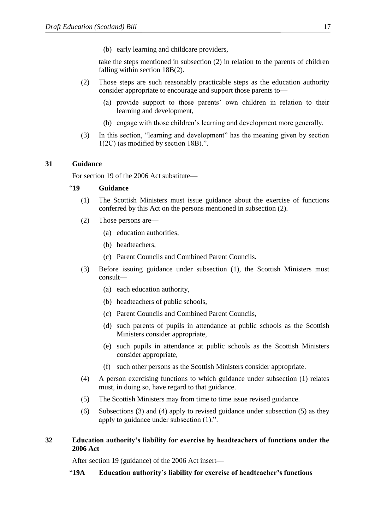(b) early learning and childcare providers,

take the steps mentioned in subsection (2) in relation to the parents of children falling within section 18B(2).

- (2) Those steps are such reasonably practicable steps as the education authority consider appropriate to encourage and support those parents to—
	- (a) provide support to those parents' own children in relation to their learning and development,
	- (b) engage with those children's learning and development more generally.
- (3) In this section, "learning and development" has the meaning given by section 1(2C) (as modified by section 18B).".

# **31 Guidance**

For section 19 of the 2006 Act substitute—

#### "**19 Guidance**

- (1) The Scottish Ministers must issue guidance about the exercise of functions conferred by this Act on the persons mentioned in subsection (2).
- (2) Those persons are—
	- (a) education authorities,
	- (b) headteachers,
	- (c) Parent Councils and Combined Parent Councils.
- (3) Before issuing guidance under subsection (1), the Scottish Ministers must consult—
	- (a) each education authority,
	- (b) headteachers of public schools,
	- (c) Parent Councils and Combined Parent Councils,
	- (d) such parents of pupils in attendance at public schools as the Scottish Ministers consider appropriate,
	- (e) such pupils in attendance at public schools as the Scottish Ministers consider appropriate,
	- (f) such other persons as the Scottish Ministers consider appropriate.
- (4) A person exercising functions to which guidance under subsection (1) relates must, in doing so, have regard to that guidance.
- (5) The Scottish Ministers may from time to time issue revised guidance.
- (6) Subsections (3) and (4) apply to revised guidance under subsection (5) as they apply to guidance under subsection (1).".

# **32 Education authority's liability for exercise by headteachers of functions under the 2006 Act**

After section 19 (guidance) of the 2006 Act insert—

"**19A Education authority's liability for exercise of headteacher's functions**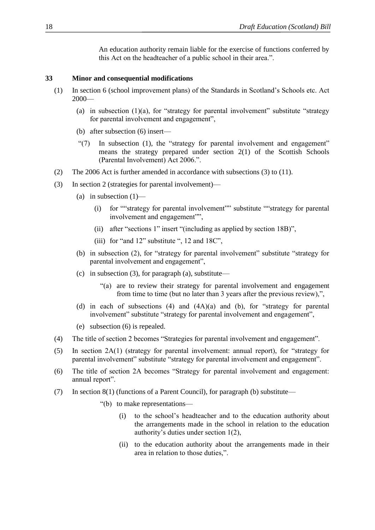An education authority remain liable for the exercise of functions conferred by this Act on the headteacher of a public school in their area.".

#### **33 Minor and consequential modifications**

- (1) In section 6 (school improvement plans) of the Standards in Scotland's Schools etc. Act 2000—
	- (a) in subsection  $(1)(a)$ , for "strategy for parental involvement" substitute "strategy for parental involvement and engagement",
	- (b) after subsection (6) insert—
	- "(7) In subsection (1), the "strategy for parental involvement and engagement" means the strategy prepared under section 2(1) of the Scottish Schools (Parental Involvement) Act 2006.".
- (2) The 2006 Act is further amended in accordance with subsections (3) to (11).
- (3) In section 2 (strategies for parental involvement)—
	- (a) in subsection  $(1)$ 
		- (i) for ""strategy for parental involvement"" substitute ""strategy for parental involvement and engagement"",
		- (ii) after "sections 1" insert "(including as applied by section 18B)",
		- (iii) for "and 12" substitute ", 12 and 18C",
	- (b) in subsection (2), for "strategy for parental involvement" substitute "strategy for parental involvement and engagement",
	- (c) in subsection (3), for paragraph (a), substitute—
		- "(a) are to review their strategy for parental involvement and engagement from time to time (but no later than 3 years after the previous review),",
	- (d) in each of subsections (4) and (4A)(a) and (b), for "strategy for parental involvement" substitute "strategy for parental involvement and engagement",
	- (e) subsection (6) is repealed.
- (4) The title of section 2 becomes "Strategies for parental involvement and engagement".
- (5) In section 2A(1) (strategy for parental involvement: annual report), for "strategy for parental involvement" substitute "strategy for parental involvement and engagement".
- (6) The title of section 2A becomes "Strategy for parental involvement and engagement: annual report".
- (7) In section 8(1) (functions of a Parent Council), for paragraph (b) substitute—
	- "(b) to make representations—
		- (i) to the school's headteacher and to the education authority about the arrangements made in the school in relation to the education authority's duties under section 1(2),
		- (ii) to the education authority about the arrangements made in their area in relation to those duties,".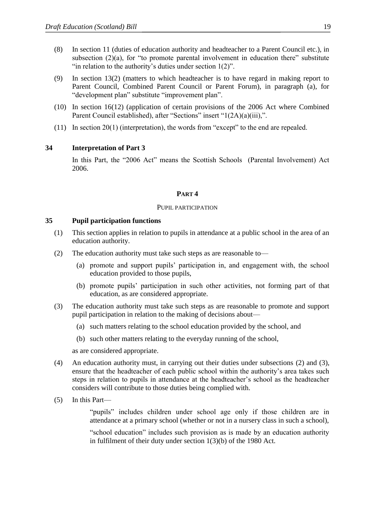- (8) In section 11 (duties of education authority and headteacher to a Parent Council etc.), in subsection  $(2)(a)$ , for "to promote parental involvement in education there" substitute "in relation to the authority's duties under section 1(2)".
- (9) In section 13(2) (matters to which headteacher is to have regard in making report to Parent Council, Combined Parent Council or Parent Forum), in paragraph (a), for "development plan" substitute "improvement plan".
- (10) In section 16(12) (application of certain provisions of the 2006 Act where Combined Parent Council established), after "Sections" insert "1(2A)(a)(iii),".
- (11) In section 20(1) (interpretation), the words from "except" to the end are repealed.

# **34 Interpretation of Part 3**

In this Part, the "2006 Act" means the Scottish Schools (Parental Involvement) Act 2006.

#### **PART 4**

#### PUPIL PARTICIPATION

#### **35 Pupil participation functions**

- (1) This section applies in relation to pupils in attendance at a public school in the area of an education authority.
- (2) The education authority must take such steps as are reasonable to—
	- (a) promote and support pupils' participation in, and engagement with, the school education provided to those pupils,
	- (b) promote pupils' participation in such other activities, not forming part of that education, as are considered appropriate.
- (3) The education authority must take such steps as are reasonable to promote and support pupil participation in relation to the making of decisions about—
	- (a) such matters relating to the school education provided by the school, and
	- (b) such other matters relating to the everyday running of the school,

as are considered appropriate.

- (4) An education authority must, in carrying out their duties under subsections (2) and (3), ensure that the headteacher of each public school within the authority's area takes such steps in relation to pupils in attendance at the headteacher's school as the headteacher considers will contribute to those duties being complied with.
- (5) In this Part—

"pupils" includes children under school age only if those children are in attendance at a primary school (whether or not in a nursery class in such a school),

"school education" includes such provision as is made by an education authority in fulfilment of their duty under section 1(3)(b) of the 1980 Act.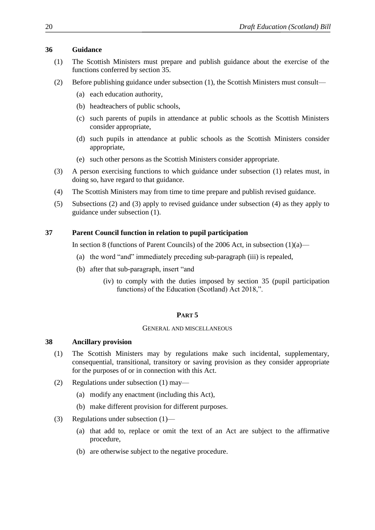#### **36 Guidance**

- (1) The Scottish Ministers must prepare and publish guidance about the exercise of the functions conferred by section 35.
- (2) Before publishing guidance under subsection (1), the Scottish Ministers must consult—
	- (a) each education authority,
	- (b) headteachers of public schools,
	- (c) such parents of pupils in attendance at public schools as the Scottish Ministers consider appropriate,
	- (d) such pupils in attendance at public schools as the Scottish Ministers consider appropriate,
	- (e) such other persons as the Scottish Ministers consider appropriate.
- (3) A person exercising functions to which guidance under subsection (1) relates must, in doing so, have regard to that guidance.
- (4) The Scottish Ministers may from time to time prepare and publish revised guidance.
- (5) Subsections (2) and (3) apply to revised guidance under subsection (4) as they apply to guidance under subsection (1).

# **37 Parent Council function in relation to pupil participation**

In section 8 (functions of Parent Councils) of the 2006 Act, in subsection  $(1)(a)$ —

- (a) the word "and" immediately preceding sub-paragraph (iii) is repealed,
- (b) after that sub-paragraph, insert "and
	- (iv) to comply with the duties imposed by section 35 (pupil participation functions) of the Education (Scotland) Act 2018,".

# **PART 5**

#### GENERAL AND MISCELLANEOUS

# **38 Ancillary provision**

- (1) The Scottish Ministers may by regulations make such incidental, supplementary, consequential, transitional, transitory or saving provision as they consider appropriate for the purposes of or in connection with this Act.
- (2) Regulations under subsection (1) may—
	- (a) modify any enactment (including this Act),
	- (b) make different provision for different purposes.
- (3) Regulations under subsection (1)—
	- (a) that add to, replace or omit the text of an Act are subject to the affirmative procedure,
	- (b) are otherwise subject to the negative procedure.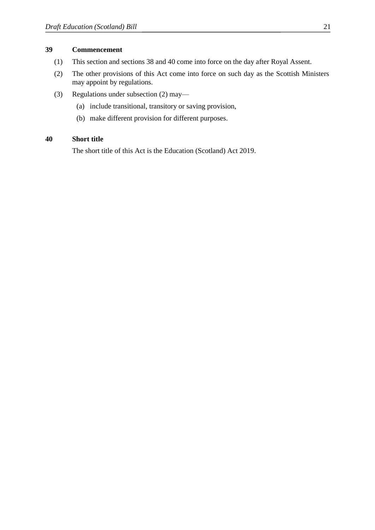#### **39 Commencement**

- (1) This section and sections 38 and 40 come into force on the day after Royal Assent.
- (2) The other provisions of this Act come into force on such day as the Scottish Ministers may appoint by regulations.
- (3) Regulations under subsection (2) may—
	- (a) include transitional, transitory or saving provision,
	- (b) make different provision for different purposes.

#### **40 Short title**

The short title of this Act is the Education (Scotland) Act 2019.